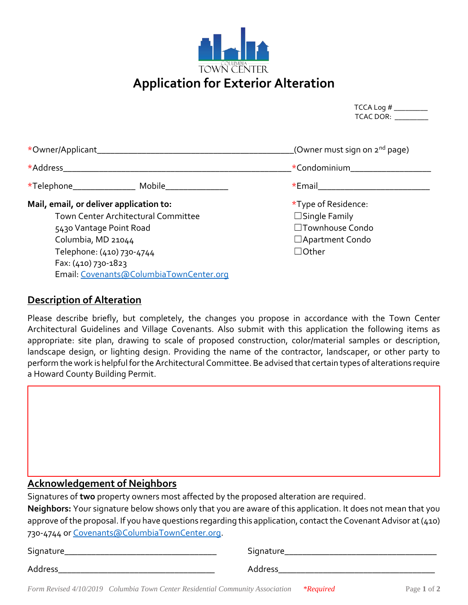

| TCCA Log $#$ |
|--------------|
| TCAC DOR:    |

| *Owner/Applicant________                          | (Owner must sign on 2 <sup>nd</sup> page) |  |
|---------------------------------------------------|-------------------------------------------|--|
| *Address                                          | *Condominium                              |  |
| *Telephone_______________<br>Mobile <b>Mobile</b> |                                           |  |
| Mail, email, or deliver application to:           | *Type of Residence:                       |  |
| Town Center Architectural Committee               | $\Box$ Single Family                      |  |
| 5430 Vantage Point Road                           | □Townhouse Condo                          |  |
| Columbia, MD 21044                                | □ Apartment Condo                         |  |
| Telephone: (410) 730-4744                         | $\Box$ Other                              |  |
| Fax: (410) 730-1823                               |                                           |  |

## **Description of Alteration**

Email[: Covenants@ColumbiaTownCenter.org](mailto:Covenants@ColumbiaTownCenter.org)

Please describe briefly, but completely, the changes you propose in accordance with the Town Center Architectural Guidelines and Village Covenants. Also submit with this application the following items as appropriate: site plan, drawing to scale of proposed construction, color/material samples or description, landscape design, or lighting design. Providing the name of the contractor, landscaper, or other party to perform the work is helpful for the Architectural Committee. Be advised that certain types of alterations require a Howard County Building Permit.

## **Acknowledgement of Neighbors**

Signatures of **two** property owners most affected by the proposed alteration are required.

**Neighbors:** Your signature below shows only that you are aware of this application. It does not mean that you approve of the proposal. If you have questions regarding this application, contact the Covenant Advisor at (410) 730-4744 o[r Covenants@ColumbiaTownCenter.org.](mailto:Covenants@ColumbiaTownCenter.org)

| Signature_ | Signature |
|------------|-----------|
| Address    | Address   |